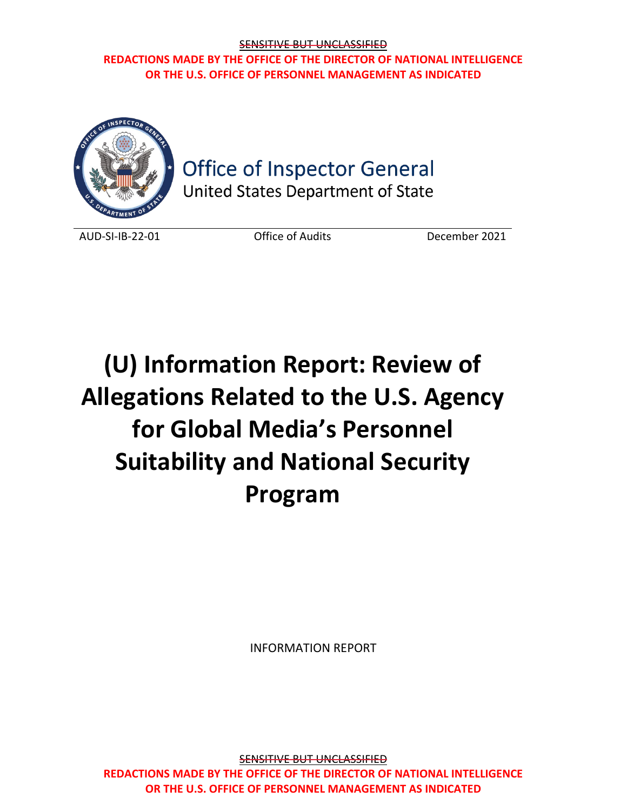

# **Office of Inspector General**

United States Department of State

AUD-SI-IB-22-01 Office of Audits December 2021

# **(U) Information Report: Review of Allegations Related to the U.S. Agency for Global Media's Personnel Suitability and National Security Program**

INFORMATION REPORT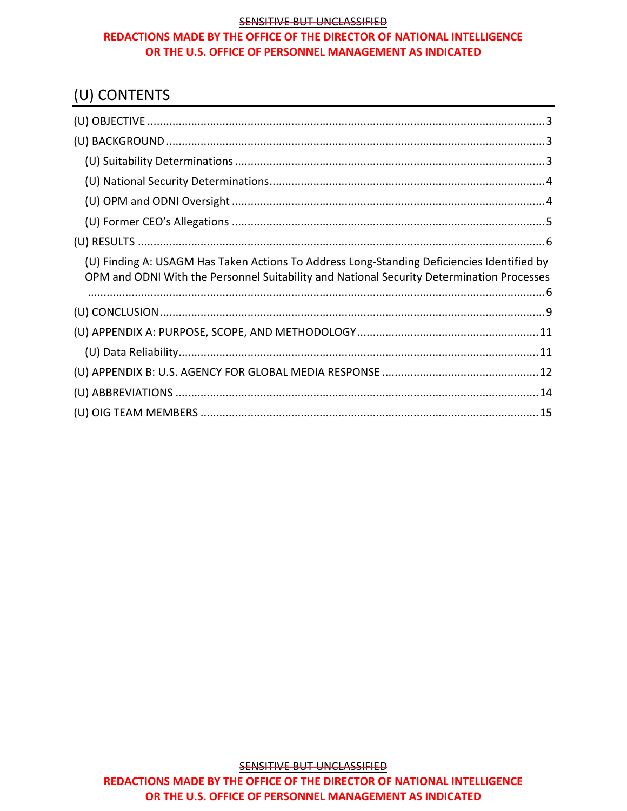# (U) CONTENTS

| (U) Finding A: USAGM Has Taken Actions To Address Long-Standing Deficiencies Identified by<br>OPM and ODNI With the Personnel Suitability and National Security Determination Processes |  |
|-----------------------------------------------------------------------------------------------------------------------------------------------------------------------------------------|--|
|                                                                                                                                                                                         |  |
|                                                                                                                                                                                         |  |
|                                                                                                                                                                                         |  |
|                                                                                                                                                                                         |  |
|                                                                                                                                                                                         |  |
|                                                                                                                                                                                         |  |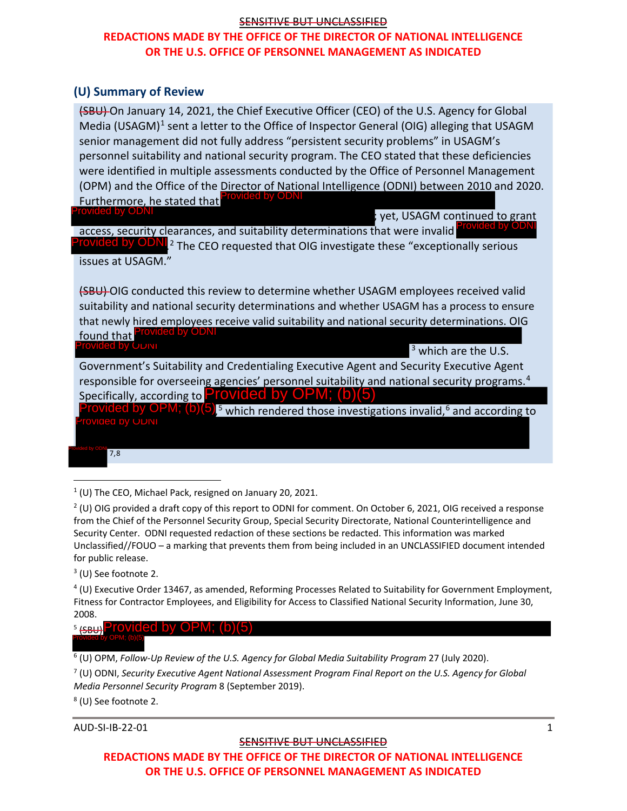# **REDACTIONS MADE BY THE OFFICE OF THE DIRECTOR OF NATIONAL INTELLIGENCE OR THE U.S. OFFICE OF PERSONNEL MANAGEMENT AS INDICATED**

### **(U) Summary of Review**

(SBU) On January 14, 2021, the Chief Executive Officer (CEO) of the U.S. Agency for Global Media (USAGM)<sup>[1](#page-2-0)</sup> sent a letter to the Office of Inspector General (OIG) alleging that USAGM senior management did not fully address "persistent security problems" in USAGM's personnel suitability and national security program. The CEO stated that these deficiencies were identified in multiple assessments conducted by the Office of Personnel Management (OPM) and the Office of the Director of National Intelligence (ODNI) between 2010 and 2020. Furthermore, he stated that Provided by ODNI ed by ODN

; yet, USAGM continued to grant

access, security clearances, and suitability determinations that were invalid Provided by ODNI<sup>[2](#page-2-1)</sup> The CEO requested that OIG investigate these "exceptionally serious issues at USAGM." Provided by ODNI

(SBU) OIG conducted this review to determine whether USAGM employees received valid suitability and national security determinations and whether USAGM has a process to ensure that newly hired employees receive valid suitability and national security determinations. OIG found that Provided by ODNI Provided by ODNI

<sup>3</sup> which are the U.S.

Government's Suitability and Credentialing Executive Agent and Security Executive Agent responsible for overseeing agencies' personnel suitability and national security programs.<sup>[4](#page-2-2)</sup> Specifically, according to **Provided by OPM; (b)** Specifically, according to Provided by OPM; (b)(5)<br>Provided by OPM; (b)(5)<sup>5</sup> which rendered those investig

 $5$  which rendered those investigations invalid,  $6$  and according to Provided by ODNI

7,8

<span id="page-2-0"></span> $1$  (U) The CEO, Michael Pack, resigned on January 20, 2021.

<span id="page-2-1"></span><sup>2</sup> (U) OIG provided a draft copy of this report to ODNI for comment. On October 6, 2021, OIG received a response from the Chief of the Personnel Security Group, Special Security Directorate, National Counterintelligence and Security Center. ODNI requested redaction of these sections be redacted. This information was marked Unclassified//FOUO – a marking that prevents them from being included in an UNCLASSIFIED document intended for public release.

<sup>3</sup> (U) See footnote 2.

<span id="page-2-2"></span> $4$  (U) Executive Order 13467, as amended, Reforming Processes Related to Suitability for Government Employment, Fitness for Contractor Employees, and Eligibility for Access to Classified National Security Information, June 30, 2008.

<sup>5</sup> (sBU)<sup>P</sup>rovided by OPM; (b)(5) Provided by OPM; (b)(5)

<sup>6</sup> (U) OPM, *Follow-Up Review of the U.S. Agency for Global Media Suitability Program* 27 (July 2020).

<sup>7</sup> (U) ODNI, *Security Executive Agent National Assessment Program Final Report on the U.S. Agency for Global Media Personnel Security Program* 8 (September 2019).

<sup>8</sup> (U) See footnote 2.

AUD-SI-IB-22-01 1

#### SENSITIVE BUT UNCLASSIFIED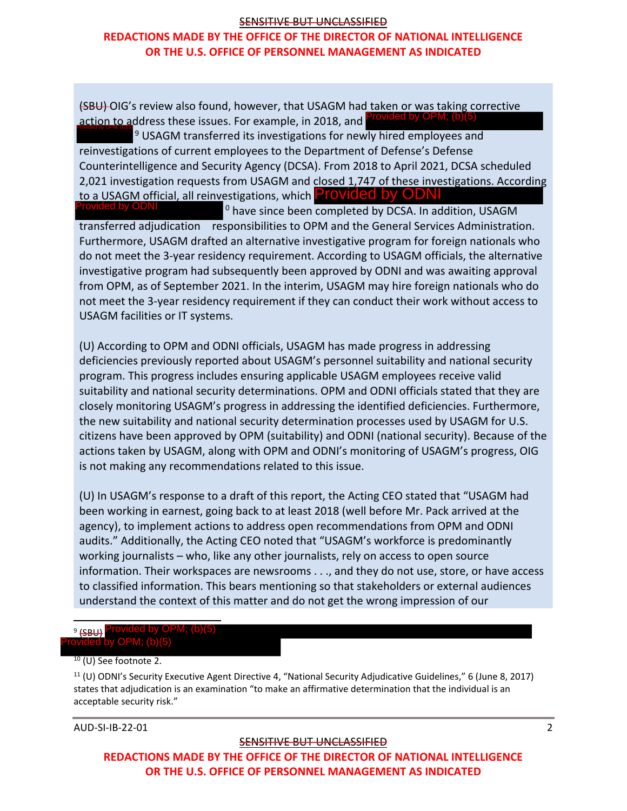# **REDACTIONS MADE BY THE OFFICE OF THE DIRECTOR OF NATIONAL INTELLIGENCE OR THE U.S. OFFICE OF PERSONNEL MANAGEMENT AS INDICATED**

(SBU) OIG's review also found, however, that USAGM had taken or was taking corrective action to address these issues. For example, in 2018, and Provided by OPM; (b)(5) Provided by OPM; (b)(5)

 $9$  USAGM transferred its investigations for newly hired employees and reinvestigations of current employees to the Department of Defense's Defense Counterintelligence and Security Agency (DCSA). From 2018 to April 2021, DCSA scheduled 2,021 investigation requests from USAGM and closed 1,747 of these investigations. According to a USAGM official, all reinvestigations, which **Provided by ODNI** 

 $0$  have since been completed by DCSA. In addition, USAGM transferred adjudication responsibilities to OPM and the General Services Administration. Furthermore, USAGM drafted an alternative investigative program for foreign nationals who do not meet the 3-year residency requirement. According to USAGM officials, the alternative investigative program had subsequently been approved by ODNI and was awaiting approval from OPM, as of September 2021. In the interim, USAGM may hire foreign nationals who do not meet the 3-year residency requirement if they can conduct their work without access to USAGM facilities or IT systems.

(U) According to OPM and ODNI officials, USAGM has made progress in addressing deficiencies previously reported about USAGM's personnel suitability and national security program. This progress includes ensuring applicable USAGM employees receive valid suitability and national security determinations. OPM and ODNI officials stated that they are closely monitoring USAGM's progress in addressing the identified deficiencies. Furthermore, the new suitability and national security determination processes used by USAGM for U.S. citizens have been approved by OPM (suitability) and ODNI (national security). Because of the actions taken by USAGM, along with OPM and ODNI's monitoring of USAGM's progress, OIG is not making any recommendations related to this issue. to a USAGM official, all reinvestigations, which **Provided by ODNI**<br> **Provided by The semical by DCSA.** In a case then completed by DCSA. In a case<br>
transferred adjudication responsibilities to OPM and the General Service<br>

(U) In USAGM's response to a draft of this report, the Acting CEO stated that "USAGM had been working in earnest, going back to at least 2018 (well before Mr. Pack arrived at the agency), to implement actions to address open recommendations from OPM and ODNI audits." Additionally, the Acting CEO noted that "USAGM's workforce is predominantly working journalists – who, like any other journalists, rely on access to open source information. Their workspaces are newsrooms . . ., and they do not use, store, or have access to classified information. This bears mentioning so that stakeholders or external audiences understand the context of this matter and do not get the wrong impression of our

#### <span id="page-3-0"></span> $9$  (SBH) d by OPM; (b)(5):

 $10$  (U) See footnote 2.

 $11$  (U) ODNI's Security Executive Agent Directive 4, "National Security Adjudicative Guidelines," 6 (June 8, 2017) states that adjudication is an examination "to make an affirmative determination that the individual is an acceptable security risk."

AUD-SI-IB-22-01 2

#### SENSITIVE BUT UNCLASSIFIED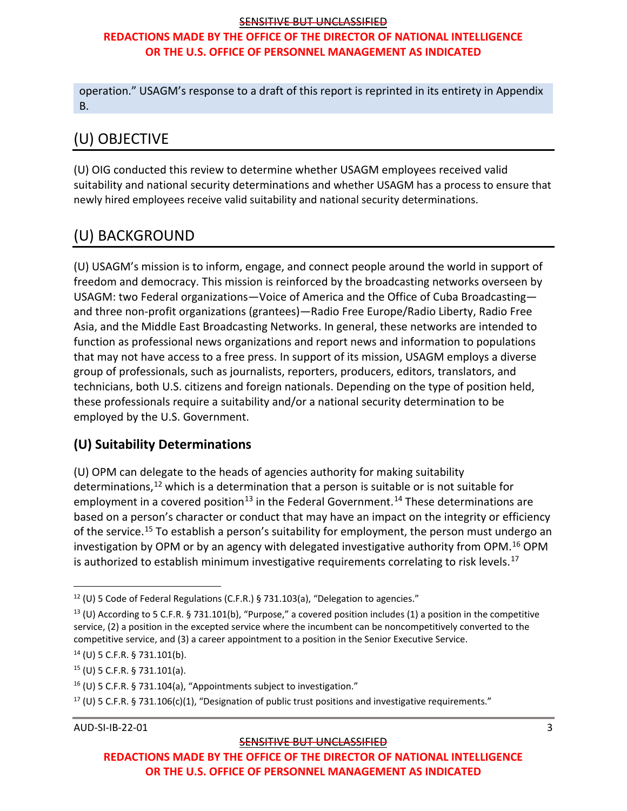# **REDACTIONS MADE BY THE OFFICE OF THE DIRECTOR OF NATIONAL INTELLIGENCE OR THE U.S. OFFICE OF PERSONNEL MANAGEMENT AS INDICATED**

operation." USAGM's response to a draft of this report is reprinted in its entirety in Appendix B.

# <span id="page-4-0"></span>(U) OBJECTIVE

(U) OIG conducted this review to determine whether USAGM employees received valid suitability and national security determinations and whether USAGM has a process to ensure that newly hired employees receive valid suitability and national security determinations.

# <span id="page-4-1"></span>(U) BACKGROUND

(U) USAGM's mission is to inform, engage, and connect people around the world in support of freedom and democracy. This mission is reinforced by the broadcasting networks overseen by USAGM: two Federal organizations—Voice of America and the Office of Cuba Broadcasting and three non-profit organizations (grantees)—Radio Free Europe/Radio Liberty, Radio Free Asia, and the Middle East Broadcasting Networks. In general, these networks are intended to function as professional news organizations and report news and information to populations that may not have access to a free press. In support of its mission, USAGM employs a diverse group of professionals, such as journalists, reporters, producers, editors, translators, and technicians, both U.S. citizens and foreign nationals. Depending on the type of position held, these professionals require a suitability and/or a national security determination to be employed by the U.S. Government.

# <span id="page-4-2"></span>**(U) Suitability Determinations**

(U) OPM can delegate to the heads of agencies authority for making suitability determinations,<sup>[12](#page-4-3)</sup> which is a determination that a person is suitable or is not suitable for employment in a covered position<sup>[13](#page-4-4)</sup> in the Federal Government.<sup>[14](#page-4-5)</sup> These determinations are based on a person's character or conduct that may have an impact on the integrity or efficiency of the service.<sup>[15](#page-4-6)</sup> To establish a person's suitability for employment, the person must undergo an investigation by OPM or by an agency with delegated investigative authority from OPM.[16](#page-4-7) OPM is authorized to establish minimum investigative requirements correlating to risk levels.<sup>[17](#page-4-8)</sup>

<span id="page-4-8"></span><sup>17</sup> (U) 5 C.F.R. § 731.106(c)(1), "Designation of public trust positions and investigative requirements."

```
AUD-SI-IB-22-01 3
```
#### SENSITIVE BUT UNCLASSIFIED

<span id="page-4-3"></span><sup>&</sup>lt;sup>12</sup> (U) 5 Code of Federal Regulations (C.F.R.) § 731.103(a), "Delegation to agencies."

<span id="page-4-4"></span> $13$  (U) According to 5 C.F.R. § 731.101(b), "Purpose," a covered position includes (1) a position in the competitive service, (2) a position in the excepted service where the incumbent can be noncompetitively converted to the competitive service, and (3) a career appointment to a position in the Senior Executive Service.

<span id="page-4-5"></span><sup>14</sup> (U) 5 C.F.R. § 731.101(b).

<span id="page-4-6"></span><sup>15</sup> (U) 5 C.F.R. § 731.101(a).

<span id="page-4-7"></span><sup>16</sup> (U) 5 C.F.R. § 731.104(a), "Appointments subject to investigation."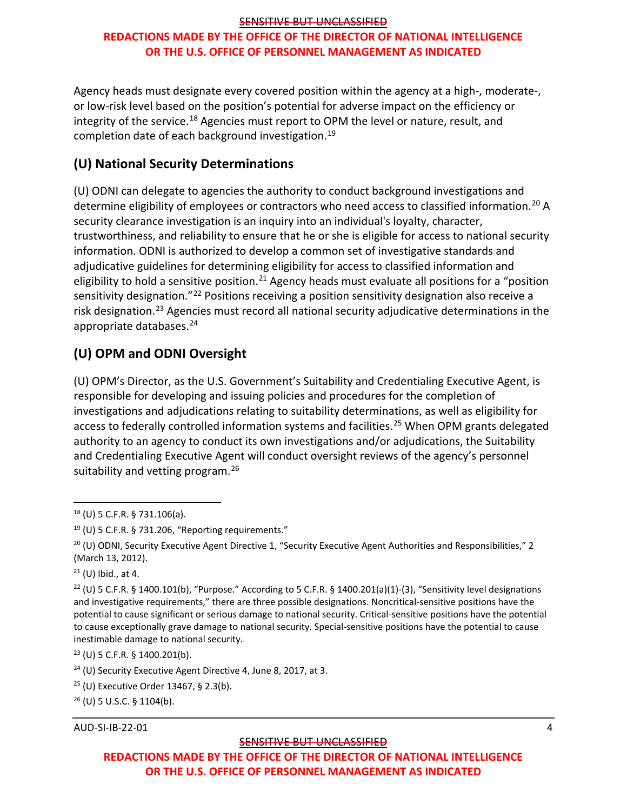Agency heads must designate every covered position within the agency at a high-, moderate-, or low-risk level based on the position's potential for adverse impact on the efficiency or integrity of the service.<sup>[18](#page-5-2)</sup> Agencies must report to OPM the level or nature, result, and completion date of each background investigation.[19](#page-5-3)

# <span id="page-5-0"></span>**(U) National Security Determinations**

(U) ODNI can delegate to agencies the authority to conduct background investigations and determine eligibility of employees or contractors who need access to classified information.<sup>[20](#page-5-4)</sup> A security clearance investigation is an inquiry into an individual's loyalty, character, trustworthiness, and reliability to ensure that he or she is eligible for access to national security information. ODNI is authorized to develop a common set of investigative standards and adjudicative guidelines for determining eligibility for access to classified information and eligibility to hold a sensitive position.<sup>[21](#page-5-5)</sup> Agency heads must evaluate all positions for a "position sensitivity designation."<sup>[22](#page-5-6)</sup> Positions receiving a position sensitivity designation also receive a risk designation.<sup>[23](#page-5-7)</sup> Agencies must record all national security adjudicative determinations in the appropriate databases.[24](#page-5-8)

# <span id="page-5-1"></span>**(U) OPM and ODNI Oversight**

(U) OPM's Director, as the U.S. Government's Suitability and Credentialing Executive Agent, is responsible for developing and issuing policies and procedures for the completion of investigations and adjudications relating to suitability determinations, as well as eligibility for access to federally controlled information systems and facilities.<sup>25</sup> When OPM grants delegated authority to an agency to conduct its own investigations and/or adjudications, the Suitability and Credentialing Executive Agent will conduct oversight reviews of the agency's personnel suitability and vetting program.<sup>[26](#page-5-10)</sup>

AUD-SI-IB-22-01 4

#### SENSITIVE BUT UNCLASSIFIED

<span id="page-5-2"></span><sup>18</sup> (U) 5 C.F.R. § 731.106(a).

<span id="page-5-3"></span><sup>19</sup> (U) 5 C.F.R. § 731.206, "Reporting requirements."

<span id="page-5-4"></span> $20$  (U) ODNI, Security Executive Agent Directive 1, "Security Executive Agent Authorities and Responsibilities," 2 (March 13, 2012).

<span id="page-5-5"></span> $21$  (U) Ibid., at 4.

<span id="page-5-6"></span><sup>&</sup>lt;sup>22</sup> (U) 5 C.F.R. § 1400.101(b), "Purpose." According to 5 C.F.R. § 1400.201(a)(1)-(3), "Sensitivity level designations and investigative requirements," there are three possible designations. Noncritical-sensitive positions have the potential to cause significant or serious damage to national security. Critical-sensitive positions have the potential to cause exceptionally grave damage to national security. Special-sensitive positions have the potential to cause inestimable damage to national security.

<span id="page-5-7"></span><sup>23</sup> (U) 5 C.F.R. § 1400.201(b).

<span id="page-5-8"></span><sup>&</sup>lt;sup>24</sup> (U) Security Executive Agent Directive 4, June 8, 2017, at 3.

<span id="page-5-9"></span> $25$  (U) Executive Order 13467, § 2.3(b).

<span id="page-5-10"></span><sup>26</sup> (U) 5 U.S.C. § 1104(b).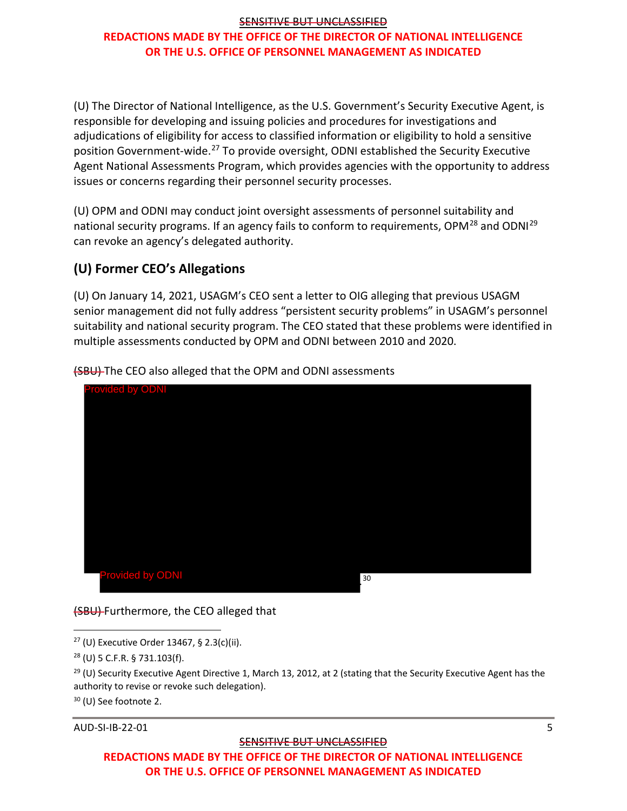# **REDACTIONS MADE BY THE OFFICE OF THE DIRECTOR OF NATIONAL INTELLIGENCE OR THE U.S. OFFICE OF PERSONNEL MANAGEMENT AS INDICATED**

(U) The Director of National Intelligence, as the U.S. Government's Security Executive Agent, is responsible for developing and issuing policies and procedures for investigations and adjudications of eligibility for access to classified information or eligibility to hold a sensitive position Government-wide.<sup>[27](#page-6-1)</sup> To provide oversight, ODNI established the Security Executive Agent National Assessments Program, which provides agencies with the opportunity to address issues or concerns regarding their personnel security processes.

(U) OPM and ODNI may conduct joint oversight assessments of personnel suitability and national security programs. If an agency fails to conform to requirements, OPM<sup>[28](#page-6-2)</sup> and ODNI<sup>[29](#page-6-3)</sup> can revoke an agency's delegated authority.

# <span id="page-6-0"></span>**(U) Former CEO's Allegations**

(U) On January 14, 2021, USAGM's CEO sent a letter to OIG alleging that previous USAGM senior management did not fully address "persistent security problems" in USAGM's personnel suitability and national security program. The CEO stated that these problems were identified in multiple assessments conducted by OPM and ODNI between 2010 and 2020.



(SBU) The CEO also alleged that the OPM and ODNI assessments

(SBU) Furthermore, the CEO alleged that

<span id="page-6-1"></span> $27$  (U) Executive Order 13467, § 2.3(c)(ii).

AUD-SI-IB-22-01 5

#### SENSITIVE BUT UNCLASSIFIED

<span id="page-6-2"></span><sup>28</sup> (U) 5 C.F.R. § 731.103(f).

<span id="page-6-3"></span> $29$  (U) Security Executive Agent Directive 1, March 13, 2012, at 2 (stating that the Security Executive Agent has the authority to revise or revoke such delegation).

<sup>30</sup> (U) See footnote 2.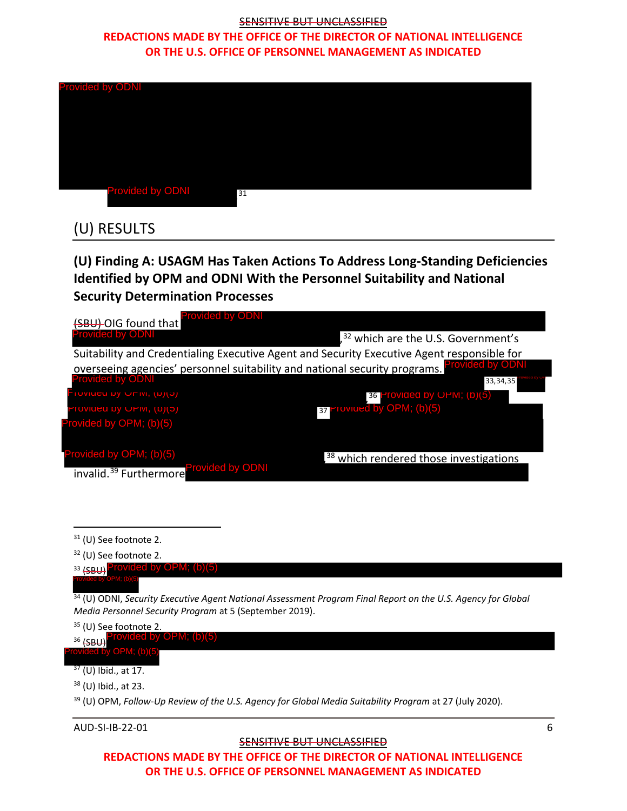# **REDACTIONS MADE BY THE OFFICE OF THE DIRECTOR OF NATIONAL INTELLIGENCE OR THE U.S. OFFICE OF PERSONNEL MANAGEMENT AS INDICATED**

| <b>Provided by ODNI</b> |    |
|-------------------------|----|
|                         |    |
|                         |    |
|                         |    |
|                         |    |
|                         |    |
| <b>Provided by ODNI</b> | 31 |

# <span id="page-7-0"></span>(U) RESULTS

<span id="page-7-1"></span>**(U) Finding A: USAGM Has Taken Actions To Address Long-Standing Deficiencies Identified by OPM and ODNI With the Personnel Suitability and National Security Determination Processes**



<sup>31</sup> (U) See footnote 2.

<sup>32</sup> (U) See footnote 2.

33 <sub>(SBU)</sub> Provided by OPM; (b)(5)

Provided by OPM; (b)(5)

<sup>34</sup> (U) ODNI, *Security Executive Agent National Assessment Program Final Report on the U.S. Agency for Global Media Personnel Security Program* at 5 (September 2019).

<sup>35</sup> (U) See footnote 2.

<sup>36</sup> (SBU) Provided by OPM; (b)(5)

Provided by OPM; (b)(5)

 $37$  (U) Ibid., at 17.

<sup>38</sup> (U) Ibid., at 23.

<sup>39</sup> (U) OPM, *Follow-Up Review of the U.S. Agency for Global Media Suitability Program* at 27 (July 2020).

AUD-SI-IB-22-01 6

#### **SENSITIVE BUT UNCLASSIFIED**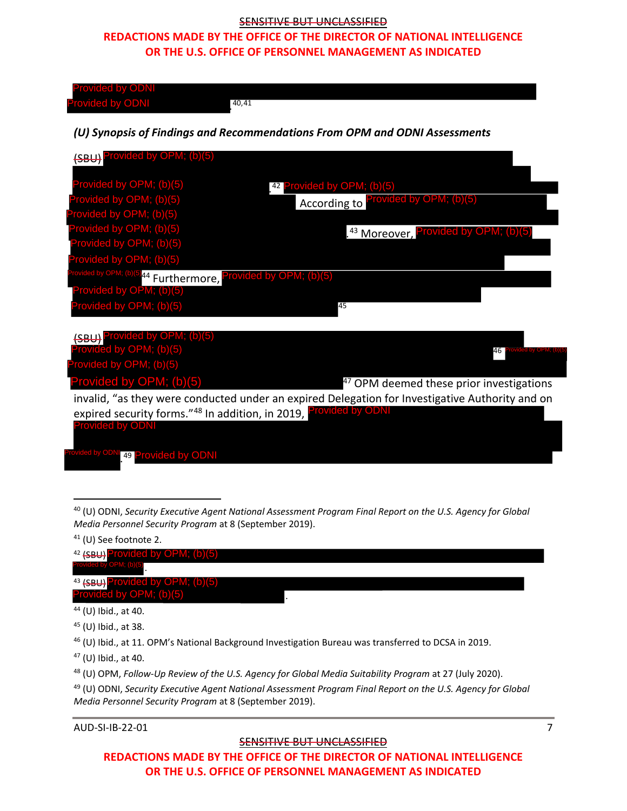### **REDACTIONS MADE BY THE OFFICE OF THE DIRECTOR OF NATIONAL INTELLIGENCE OR THE U.S. OFFICE OF PERSONNEL MANAGEMENT AS INDICATED**

| <b>Provided by ODNI</b><br><b>Provided by ODNI</b>                         | 40,41                                                                                                                                                                |
|----------------------------------------------------------------------------|----------------------------------------------------------------------------------------------------------------------------------------------------------------------|
|                                                                            | (U) Synopsis of Findings and Recommendations From OPM and ODNI Assessments                                                                                           |
| (SBU) Provided by OPM; (b)(5)                                              |                                                                                                                                                                      |
| Provided by OPM; (b)(5)                                                    | 42 Provided by OPM; (b)(5)                                                                                                                                           |
| Provided by OPM; (b)(5)<br>Provided by OPM; (b)(5)                         | According to Provided by OPM; (b)(5)                                                                                                                                 |
| Provided by OPM; (b)(5)                                                    | . <sup>43</sup> Moreover, Provided by OPM; (b)(5)                                                                                                                    |
| Provided by OPM; (b)(5)<br>Provided by OPM; (b)(5)                         |                                                                                                                                                                      |
| Provided by OPM; (b)(5) <sub>44</sub> Furthermore, Provided by OPM; (b)(5) |                                                                                                                                                                      |
| Provided by OPM; (b)(5)                                                    |                                                                                                                                                                      |
| Provided by OPM; (b)(5)                                                    | 45                                                                                                                                                                   |
| (SBU) Provided by OPM; (b)(5)<br>Provided by OPM; (b)(5)                   | 46<br>ed by OPM; (b)(5                                                                                                                                               |
| Provided by OPM; (b)(5)                                                    |                                                                                                                                                                      |
| Provided by OPM; (b)(5)                                                    | <sup>47</sup> OPM deemed these prior investigations                                                                                                                  |
|                                                                            | invalid, "as they were conducted under an expired Delegation for Investigative Authority and on<br>expired security forms."48 In addition, in 2019, Provided by ODNI |
| <b>Provided by ODNI</b>                                                    |                                                                                                                                                                      |

. 49 Provided by ODNI Provided by ODNI

| $42$ (SBU) Provided by OPM; (b)(5)                     |  |
|--------------------------------------------------------|--|
| Provided by OPM; (b)(5)                                |  |
| <sup>43</sup> <del>(SBU)</del> Provided by OPM; (b)(5) |  |
| Provided by OPM; (b)(5)                                |  |
| $44$ (U) Ibid., at 40.                                 |  |

<sup>45</sup> (U) Ibid., at 38.

<sup>47</sup> (U) Ibid., at 40.

AUD-SI-IB-22-01 7

#### SENSITIVE BUT UNCLASSIFIED

<sup>40</sup> (U) ODNI, *Security Executive Agent National Assessment Program Final Report on the U.S. Agency for Global Media Personnel Security Program* at 8 (September 2019).

<sup>41</sup> (U) See footnote 2.

<sup>46</sup> (U) Ibid., at 11. OPM's National Background Investigation Bureau was transferred to DCSA in 2019.

<span id="page-8-0"></span><sup>48</sup> (U) OPM, *Follow-Up Review of the U.S. Agency for Global Media Suitability Program* at 27 (July 2020).

<sup>49</sup> (U) ODNI, *Security Executive Agent National Assessment Program Final Report on the U.S. Agency for Global Media Personnel Security Program* at 8 (September 2019).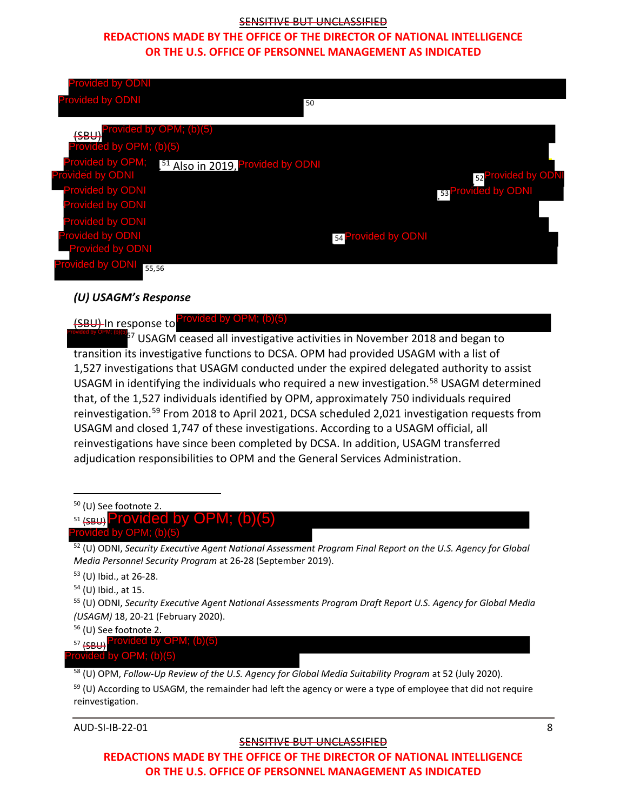### **REDACTIONS MADE BY THE OFFICE OF THE DIRECTOR OF NATIONAL INTELLIGENCE OR THE U.S. OFFICE OF PERSONNEL MANAGEMENT AS INDICATED**

| <b>Provided by ODNI</b>                                                                                                                                                                                                                                                                                                                                                                                                                        |                                                                                                                                                                                                                                                                                                                                                                                                         |
|------------------------------------------------------------------------------------------------------------------------------------------------------------------------------------------------------------------------------------------------------------------------------------------------------------------------------------------------------------------------------------------------------------------------------------------------|---------------------------------------------------------------------------------------------------------------------------------------------------------------------------------------------------------------------------------------------------------------------------------------------------------------------------------------------------------------------------------------------------------|
| <b>Provided by ODNI</b>                                                                                                                                                                                                                                                                                                                                                                                                                        | 50                                                                                                                                                                                                                                                                                                                                                                                                      |
| ided by OPM; (b)(5)<br><del>(SBU</del>                                                                                                                                                                                                                                                                                                                                                                                                         |                                                                                                                                                                                                                                                                                                                                                                                                         |
| rovided by OPM; (b)(5)                                                                                                                                                                                                                                                                                                                                                                                                                         |                                                                                                                                                                                                                                                                                                                                                                                                         |
| Provided by OPM;<br><sup>51</sup> Also in 2019, Provided by ODNI                                                                                                                                                                                                                                                                                                                                                                               |                                                                                                                                                                                                                                                                                                                                                                                                         |
| <b>Provided by ODNI</b><br><b>Provided by ODNI</b>                                                                                                                                                                                                                                                                                                                                                                                             | 52 Provided by ODN                                                                                                                                                                                                                                                                                                                                                                                      |
| Provided by ODNI                                                                                                                                                                                                                                                                                                                                                                                                                               | 53 Provided by ODNI                                                                                                                                                                                                                                                                                                                                                                                     |
| <b>Provided by ODNI</b>                                                                                                                                                                                                                                                                                                                                                                                                                        |                                                                                                                                                                                                                                                                                                                                                                                                         |
| Provided by ODNI                                                                                                                                                                                                                                                                                                                                                                                                                               | 54 Provided by ODNI                                                                                                                                                                                                                                                                                                                                                                                     |
| <b>Provided by ODNI</b>                                                                                                                                                                                                                                                                                                                                                                                                                        |                                                                                                                                                                                                                                                                                                                                                                                                         |
| <b>Trovided by ODNI</b><br>55,56                                                                                                                                                                                                                                                                                                                                                                                                               |                                                                                                                                                                                                                                                                                                                                                                                                         |
|                                                                                                                                                                                                                                                                                                                                                                                                                                                |                                                                                                                                                                                                                                                                                                                                                                                                         |
| (U) USAGM's Response                                                                                                                                                                                                                                                                                                                                                                                                                           |                                                                                                                                                                                                                                                                                                                                                                                                         |
| transition its investigative functions to DCSA. OPM had provided USAGM with a list of<br>that, of the 1,527 individuals identified by OPM, approximately 750 individuals required<br>USAGM and closed 1,747 of these investigations. According to a USAGM official, all<br>reinvestigations have since been completed by DCSA. In addition, USAGM transferred<br>adjudication responsibilities to OPM and the General Services Administration. | <sup>57</sup> USAGM ceased all investigative activities in November 2018 and began to<br>1,527 investigations that USAGM conducted under the expired delegated authority to assist<br>USAGM in identifying the individuals who required a new investigation. <sup>58</sup> USAGM determined<br>reinvestigation. <sup>59</sup> From 2018 to April 2021, DCSA scheduled 2,021 investigation requests from |
| <sup>50</sup> (U) See footnote 2.<br>Provided by OPN<br>$51$ (SBU)                                                                                                                                                                                                                                                                                                                                                                             |                                                                                                                                                                                                                                                                                                                                                                                                         |
| Provided by OPM; (b)(5)                                                                                                                                                                                                                                                                                                                                                                                                                        |                                                                                                                                                                                                                                                                                                                                                                                                         |
| Media Personnel Security Program at 26-28 (September 2019).                                                                                                                                                                                                                                                                                                                                                                                    | $52$ (U) ODNI, Security Executive Agent National Assessment Program Final Report on the U.S. Agency for Global                                                                                                                                                                                                                                                                                          |
| <sup>53</sup> (U) Ibid., at 26-28.                                                                                                                                                                                                                                                                                                                                                                                                             |                                                                                                                                                                                                                                                                                                                                                                                                         |
| <sup>54</sup> (U) Ibid., at 15.                                                                                                                                                                                                                                                                                                                                                                                                                | <sup>55</sup> (U) ODNI, Security Executive Agent National Assessments Program Draft Report U.S. Agency for Global Media                                                                                                                                                                                                                                                                                 |
| (USAGM) 18, 20-21 (February 2020).                                                                                                                                                                                                                                                                                                                                                                                                             |                                                                                                                                                                                                                                                                                                                                                                                                         |
| <sup>56</sup> (U) See footnote 2.<br>Provided by OPM; (b)(5)<br>$57$ (SBU)                                                                                                                                                                                                                                                                                                                                                                     |                                                                                                                                                                                                                                                                                                                                                                                                         |
|                                                                                                                                                                                                                                                                                                                                                                                                                                                |                                                                                                                                                                                                                                                                                                                                                                                                         |

#### *(U) USAGM's Response*

# (SBU) In response to Provided by OPM; (b)(5)

<span id="page-9-0"></span><sup>58</sup> (U) OPM, *Follow-Up Review of the U.S. Agency for Global Media Suitability Program* at 52 (July 2020).

<span id="page-9-1"></span> $59$  (U) According to USAGM, the remainder had left the agency or were a type of employee that did not require reinvestigation.

AUD-SI-IB-22-01 8

#### SENSITIVE BUT UNCLASSIFIED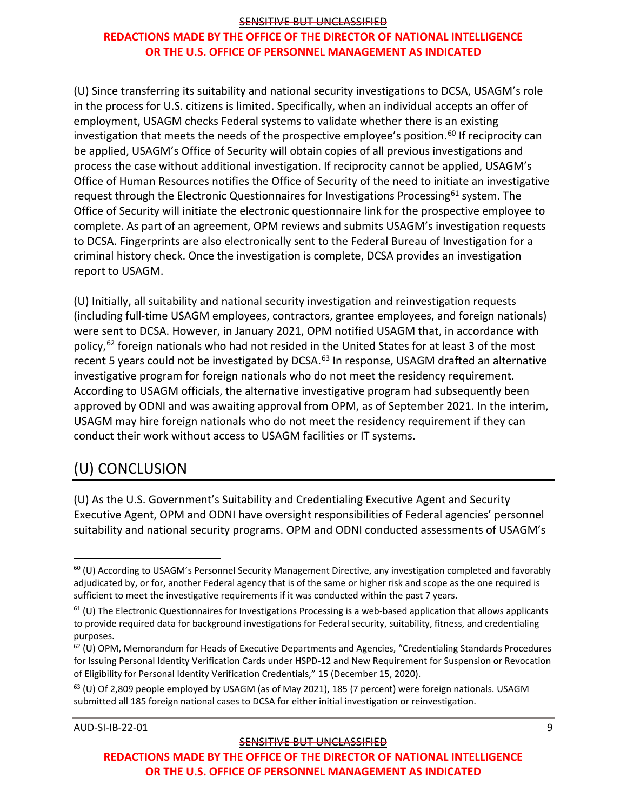# **REDACTIONS MADE BY THE OFFICE OF THE DIRECTOR OF NATIONAL INTELLIGENCE OR THE U.S. OFFICE OF PERSONNEL MANAGEMENT AS INDICATED**

(U) Since transferring its suitability and national security investigations to DCSA, USAGM's role in the process for U.S. citizens is limited. Specifically, when an individual accepts an offer of employment, USAGM checks Federal systems to validate whether there is an existing investigation that meets the needs of the prospective employee's position.<sup>[60](#page-10-1)</sup> If reciprocity can be applied, USAGM's Office of Security will obtain copies of all previous investigations and process the case without additional investigation. If reciprocity cannot be applied, USAGM's Office of Human Resources notifies the Office of Security of the need to initiate an investigative request through the Electronic Questionnaires for Investigations Processing<sup>[61](#page-10-2)</sup> system. The Office of Security will initiate the electronic questionnaire link for the prospective employee to complete. As part of an agreement, OPM reviews and submits USAGM's investigation requests to DCSA. Fingerprints are also electronically sent to the Federal Bureau of Investigation for a criminal history check. Once the investigation is complete, DCSA provides an investigation report to USAGM.

(U) Initially, all suitability and national security investigation and reinvestigation requests (including full-time USAGM employees, contractors, grantee employees, and foreign nationals) were sent to DCSA. However, in January 2021, OPM notified USAGM that, in accordance with policy,<sup>[62](#page-10-3)</sup> foreign nationals who had not resided in the United States for at least 3 of the most recent 5 years could not be investigated by DCSA.<sup>[63](#page-10-4)</sup> In response, USAGM drafted an alternative investigative program for foreign nationals who do not meet the residency requirement. According to USAGM officials, the alternative investigative program had subsequently been approved by ODNI and was awaiting approval from OPM, as of September 2021. In the interim, USAGM may hire foreign nationals who do not meet the residency requirement if they can conduct their work without access to USAGM facilities or IT systems.

# <span id="page-10-0"></span>(U) CONCLUSION

(U) As the U.S. Government's Suitability and Credentialing Executive Agent and Security Executive Agent, OPM and ODNI have oversight responsibilities of Federal agencies' personnel suitability and national security programs. OPM and ODNI conducted assessments of USAGM's

AUD-SI-IB-22-01 9

<span id="page-10-1"></span> $60$  (U) According to USAGM's Personnel Security Management Directive, any investigation completed and favorably adjudicated by, or for, another Federal agency that is of the same or higher risk and scope as the one required is sufficient to meet the investigative requirements if it was conducted within the past 7 years.

<span id="page-10-2"></span> $61$  (U) The Electronic Questionnaires for Investigations Processing is a web-based application that allows applicants to provide required data for background investigations for Federal security, suitability, fitness, and credentialing purposes.

<span id="page-10-3"></span> $62$  (U) OPM, Memorandum for Heads of Executive Departments and Agencies, "Credentialing Standards Procedures for Issuing Personal Identity Verification Cards under HSPD-12 and New Requirement for Suspension or Revocation of Eligibility for Personal Identity Verification Credentials," 15 (December 15, 2020).

<span id="page-10-4"></span> $<sup>63</sup>$  (U) Of 2,809 people employed by USAGM (as of May 2021), 185 (7 percent) were foreign nationals. USAGM</sup> submitted all 185 foreign national cases to DCSA for either initial investigation or reinvestigation.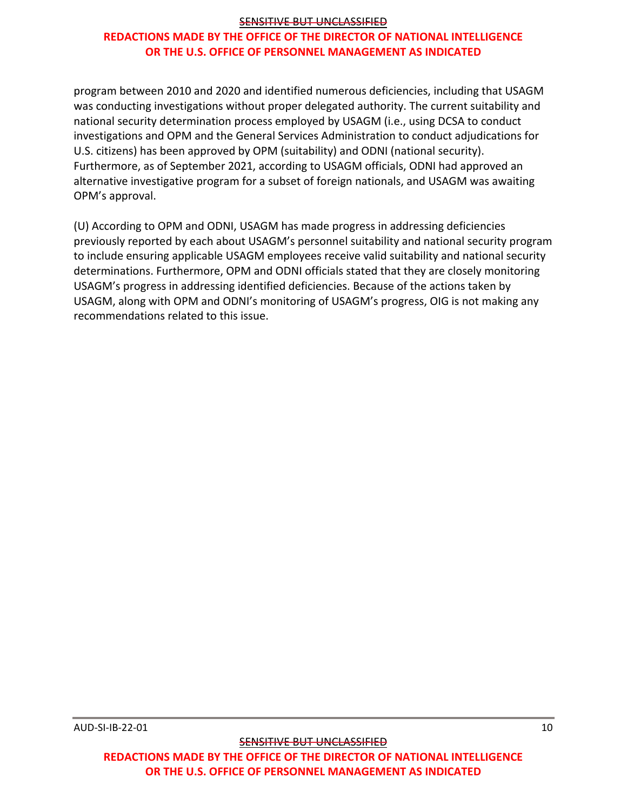# **REDACTIONS MADE BY THE OFFICE OF THE DIRECTOR OF NATIONAL INTELLIGENCE OR THE U.S. OFFICE OF PERSONNEL MANAGEMENT AS INDICATED**

program between 2010 and 2020 and identified numerous deficiencies, including that USAGM was conducting investigations without proper delegated authority. The current suitability and national security determination process employed by USAGM (i.e., using DCSA to conduct investigations and OPM and the General Services Administration to conduct adjudications for U.S. citizens) has been approved by OPM (suitability) and ODNI (national security). Furthermore, as of September 2021, according to USAGM officials, ODNI had approved an alternative investigative program for a subset of foreign nationals, and USAGM was awaiting OPM's approval.

(U) According to OPM and ODNI, USAGM has made progress in addressing deficiencies previously reported by each about USAGM's personnel suitability and national security program to include ensuring applicable USAGM employees receive valid suitability and national security determinations. Furthermore, OPM and ODNI officials stated that they are closely monitoring USAGM's progress in addressing identified deficiencies. Because of the actions taken by USAGM, along with OPM and ODNI's monitoring of USAGM's progress, OIG is not making any recommendations related to this issue.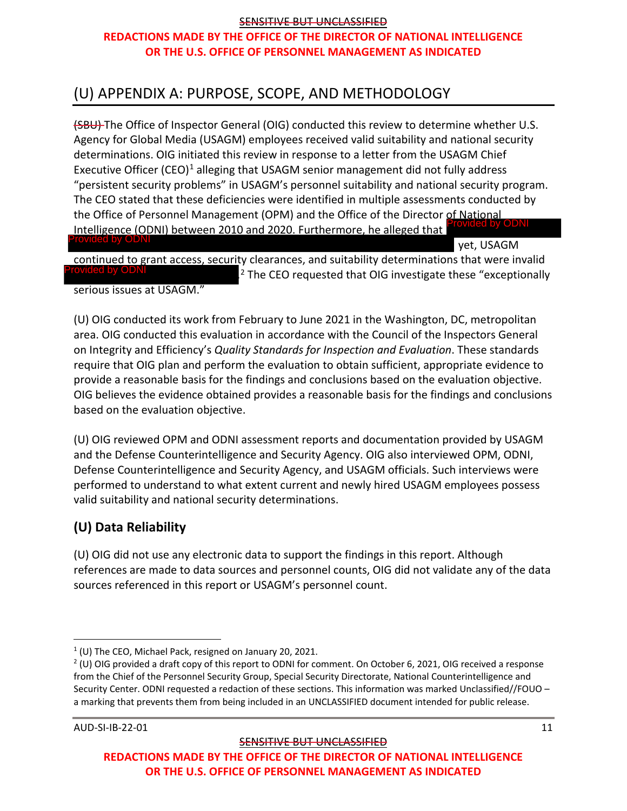# <span id="page-12-0"></span>(U) APPENDIX A: PURPOSE, SCOPE, AND METHODOLOGY

(SBU) The Office of Inspector General (OIG) conducted this review to determine whether U.S. Agency for Global Media (USAGM) employees received valid suitability and national security determinations. OIG initiated this review in response to a letter from the USAGM Chief Executive Officer (CEO)<sup>[1](#page-12-2)</sup> alleging that USAGM senior management did not fully address "persistent security problems" in USAGM's personnel suitability and national security program. The CEO stated that these deficiencies were identified in multiple assessments conducted by the Office of Personnel Management (OPM) and the Office of the Director of National Intelligence (ODNI) between 2010 and 2020. Furthermore, he alleged that Intelligence (ODNI) between 2010 and 2020. Furthermore, he alleged that<br>**Provided by ODNI**<br>continued to grant access, security clearances, and suitability determinations that were invarious<br>Provided by ODNI 2 The CEO reque

yet, USAGM

continued to grant access, security clearances, and suitability determinations that were invalid  $^{2}$  $^{2}$  $^{2}$  The CEO requested that OIG investigate these "exceptionally serious issues at USAGM."

(U) OIG conducted its work from February to June 2021 in the Washington, DC, metropolitan area. OIG conducted this evaluation in accordance with the Council of the Inspectors General on Integrity and Efficiency's *Quality Standards for Inspection and Evaluation*. These standards require that OIG plan and perform the evaluation to obtain sufficient, appropriate evidence to provide a reasonable basis for the findings and conclusions based on the evaluation objective. OIG believes the evidence obtained provides a reasonable basis for the findings and conclusions based on the evaluation objective.

(U) OIG reviewed OPM and ODNI assessment reports and documentation provided by USAGM and the Defense Counterintelligence and Security Agency. OIG also interviewed OPM, ODNI, Defense Counterintelligence and Security Agency, and USAGM officials. Such interviews were performed to understand to what extent current and newly hired USAGM employees possess valid suitability and national security determinations.

# <span id="page-12-1"></span>**(U) Data Reliability**

(U) OIG did not use any electronic data to support the findings in this report. Although references are made to data sources and personnel counts, OIG did not validate any of the data sources referenced in this report or USAGM's personnel count.

<span id="page-12-2"></span> $1$  (U) The CEO, Michael Pack, resigned on January 20, 2021.

<span id="page-12-3"></span><sup>&</sup>lt;sup>2</sup> (U) OIG provided a draft copy of this report to ODNI for comment. On October 6, 2021, OIG received a response from the Chief of the Personnel Security Group, Special Security Directorate, National Counterintelligence and Security Center. ODNI requested a redaction of these sections. This information was marked Unclassified//FOUO – a marking that prevents them from being included in an UNCLASSIFIED document intended for public release.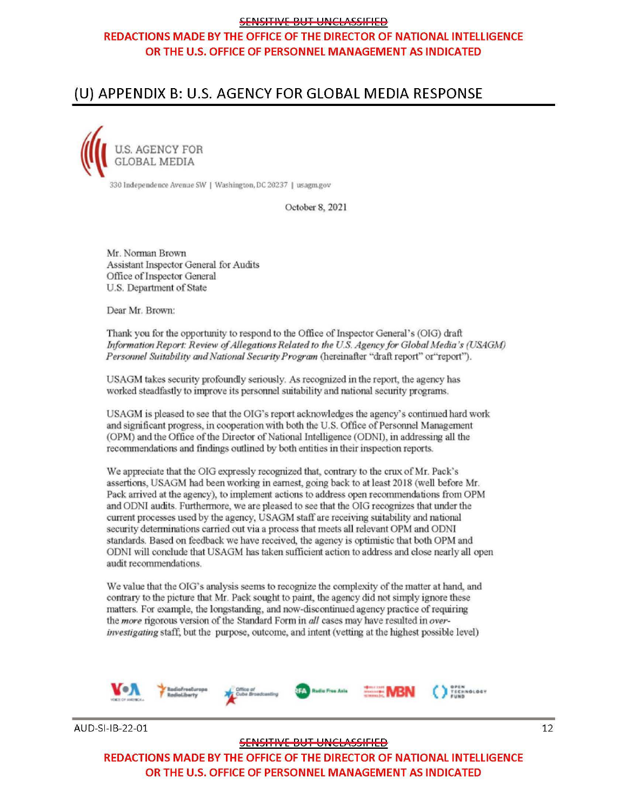# REDACTIONS MADE BY THE OFFICE OF THE DIRECTOR OF NATIONAL INTELLIGENCE OR THE U.S. OFFICE OF PERSONNEL MANAGEMENT AS INDICATED

# <span id="page-13-0"></span>(U) APPENDIX B: U.S. AGENCY FOR GLOBAL MEDIA RESPONSE

S, AGENCY FOR  $GLOBAL$  ME

330 Independence Avenue SW | Washington, DC 20237 | usagm.gov

October 8, 2021

Mr. Norman Brown Assistant Inspector General for Audits Office of Inspector General U.S. Department of State

Dear Mr. Brown:

Thank you for the opportunity to respond to the Office of Inspector General's {OIG) draft' *lnformation Report: Review of Allegations Related to the U.S. Agency for Global Media's (USAGM)* Personnel Suitability and National Security Program (hereinafter "draft report" or"report").

USAGM takes security profoundly seriously. As recognized in the report, the agency has worked steadfastly to improve its personnel suitability and national security programs.

USAGM is pleased to see that the OIG's report acknowledges the agency's continued hard work and significant progress, in cooperation with both the U.S. Office of Personnel Management (OPM) and the Office of the Director of National Intelligence (ODNI), in addressing all the recommendations and findings outlined by both entities in their inspection reports.

We appreciate that the OIG expressly recognized that, contrary to the crux of Mr. Pack's assertions, USAGM had been working in earnest, going back to at least 2018 (well before Mr. Pack arrived at the agency), to implement actions to address open recommendations from OPM and ODNI audits. Furthemaorc, we are pleased to see that the OJG recognizes that under the current processes used by the agency, USAGM staff are receiving suitability and national security determinations carried out via a process that meets all relevant OPM and ODNI standards. Based on feedback we have received, the agency is optimistic that both OPM and ODNl will conclude that USAGM has taken sufficient action to address and close nearly all open audit recommendations.

We value that the OIG's analysis seems to recognize the complexity of the matter at hand, and contrary to the picture that Mr. Pack sought to paint, the agency did not simply ignore these matters. For example, the longstanding, and now-discontinued agency practice of requiring the *more* rigorous version of the Standard Form in *all* cases may have resulted in over*investigating* staff; but the purpose, outcome, and intent (vetting at the highest possible level)



AUD-SI-IB-22-01

SENSITIVE BUT UNCLASSIFIED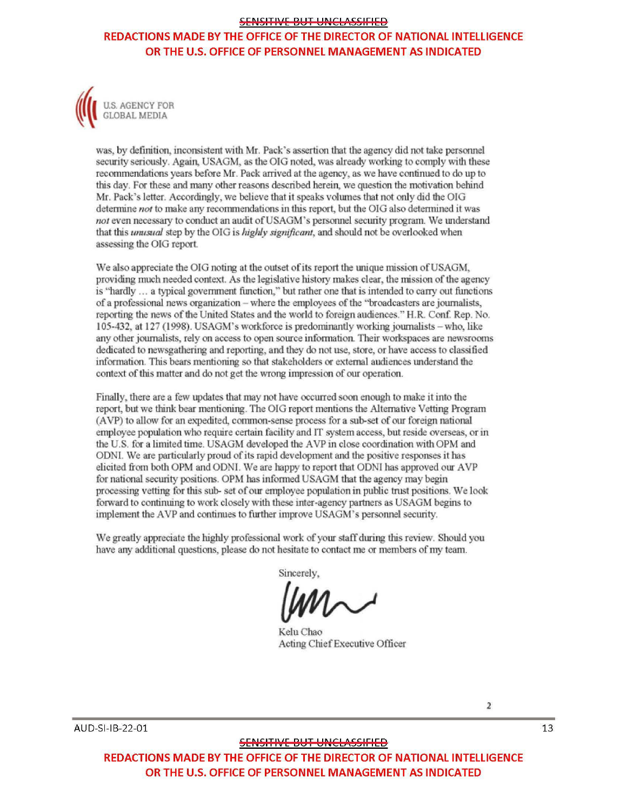### REDACTIONS MADE BY THE OFFICE OF THE DIRECTOR OF NATIONAL INTELLIGENCE OR THE U.S. OFFICE OF PERSONNEL MANAGEMENT AS INDICATED



was, by definition, inconsistent with Mr. Pack's assertion that the agency did not take personnel security seriously. Again, USAGM, as the OIG noted, was already working to comply with these recommendations years before Mr. Pack arrived at the agency, as we have continued to do up to this day. For these and many other reasoos described herein., we question the motivation behind Mr. Pack's letter. Accordingly, we believe that it speaks volumes that not only did the OIG determine *not* to make any recommendations in this report, but the OIG also determined it was not even necessary to conduct an audit of USAGM's personnel security program. We understand that this *unusual* step by the OIG is *highly significant*, and should not be overlooked when assessing the OIG report.

We also appreciate the OIG noting at the outset of its report the unique mission of USAGM, providing much needed context. As the legislative history makes clear, the mission of the agency is "hardly ... a typical government function," but rather one that is intended to carry out functions of a professional news organization - where the employees of the "broadcasters are journalists, reporting the news of the United States and the world to foreign audiences." H.R. Conf. Rep. No. 105-432, at 127 (1998). USAGM's workforce is predominantly working journalists - who, like any other journalists, rely on access to open. source information. Their workspaces are newsrooms dedicated to newsgathering and reporting, and they do not use, store, or have access to classified information. This bears mentioning so that stakeholders or external audiences understand the context of this matter and do not get the wrong impression of our operation.

Finally, there are a few updates that may not have occurred soon enough to make it into the report, but we think bear mentioning. The OIG report mentions the Alternative Vetting Program (AVP) to allow for an expedited, common-sense process for a sub-set of our foreign natioml employee population who require certain facility and IT system access, but reside overseas, or in the U.S. for a limited time. USAGM developed the AVP in close coordination with OPM and ODNI. We are particularly proud of its rapid development and the positive responses it has elicited from both OPM and ODNI. We are happy to report that ODNI has approved our AVP for national security positions. OPM has informed USAGM that the agency may begin processing vetting for this sub- set of our employee population in public trust positions. We look forward to continuing to work closely with these inter-agency partners as USAGM begins to implement the AVP and continues to further improve USAGM's personnel security.

We greatly appreciate the highly professional work of your staff during this review. Should you have any additional questions, please do not hesitate to contact me or members of my team.

Sincerely,

Kelu Chao Acting Chief Executive Officer

SENSITIVE BUT UNCLASSIFIED

REDACTIONS MADE BY THE OFFICE OF THE DIRECTOR OF NATIONAL INTELLIGENCE OR THE U.S. OFFICE OF PERSONNEL MANAGEMENT AS INDICATED

2

13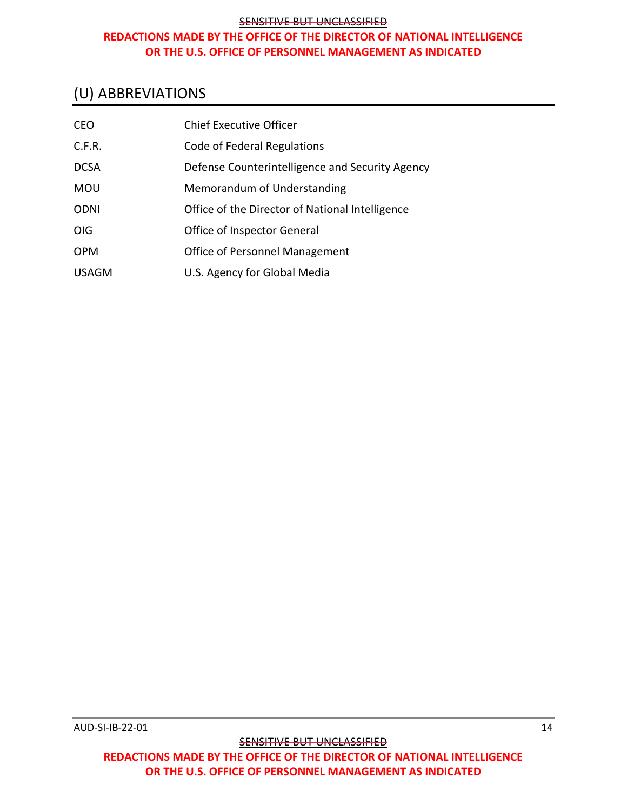# <span id="page-15-0"></span>(U) ABBREVIATIONS

| <b>CEO</b>   | <b>Chief Executive Officer</b>                  |
|--------------|-------------------------------------------------|
| C.F.R.       | Code of Federal Regulations                     |
| <b>DCSA</b>  | Defense Counterintelligence and Security Agency |
| <b>MOU</b>   | Memorandum of Understanding                     |
| <b>ODNI</b>  | Office of the Director of National Intelligence |
| <b>OIG</b>   | Office of Inspector General                     |
| <b>OPM</b>   | Office of Personnel Management                  |
| <b>USAGM</b> | U.S. Agency for Global Media                    |

**SENSITIVE BUT UNCLASSIFIED**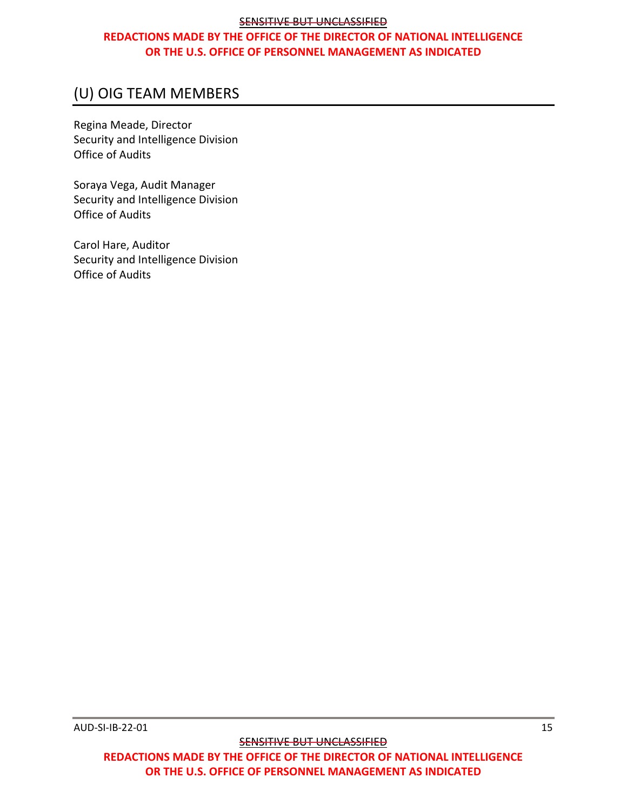# <span id="page-16-0"></span>(U) OIG TEAM MEMBERS

Regina Meade, Director Security and Intelligence Division Office of Audits

Soraya Vega, Audit Manager Security and Intelligence Division Office of Audits

Carol Hare, Auditor Security and Intelligence Division Office of Audits